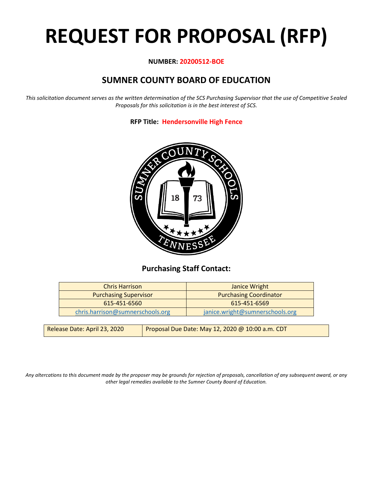# **REQUEST FOR PROPOSAL (RFP)**

#### **NUMBER: 20200512-BOE**

## **SUMNER COUNTY BOARD OF EDUCATION**

*This solicitation document serves as the written determination of the SCS Purchasing Supervisor that the use of Competitive Sealed Proposals for this solicitation is in the best interest of SCS.*

**RFP Title: Hendersonville High Fence**



## **Purchasing Staff Contact:**

| <b>Chris Harrison</b>            | Janice Wright                   |
|----------------------------------|---------------------------------|
| <b>Purchasing Supervisor</b>     | <b>Purchasing Coordinator</b>   |
| 615-451-6560                     | 615-451-6569                    |
| chris.harrison@sumnerschools.org | janice.wright@sumnerschools.org |

| Release Date: April 23, 2020 | Proposal Due Date: May 12, 2020 @ 10:00 a.m. CDT |
|------------------------------|--------------------------------------------------|
|                              |                                                  |

*Any altercations to this document made by the proposer may be grounds for rejection of proposals, cancellation of any subsequent award, or any other legal remedies available to the Sumner County Board of Education.*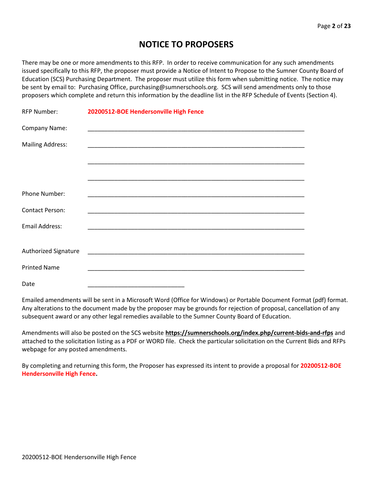## **NOTICE TO PROPOSERS**

There may be one or more amendments to this RFP. In order to receive communication for any such amendments issued specifically to this RFP, the proposer must provide a Notice of Intent to Propose to the Sumner County Board of Education (SCS) Purchasing Department. The proposer must utilize this form when submitting notice. The notice may be sent by email to: Purchasing Office, purchasing@sumnerschools.org. SCS will send amendments only to those proposers which complete and return this information by the deadline list in the RFP Schedule of Events (Section 4).

| <b>RFP Number:</b>      | 20200512-BOE Hendersonville High Fence                                            |
|-------------------------|-----------------------------------------------------------------------------------|
| Company Name:           |                                                                                   |
| <b>Mailing Address:</b> |                                                                                   |
|                         |                                                                                   |
|                         |                                                                                   |
| Phone Number:           |                                                                                   |
| <b>Contact Person:</b>  |                                                                                   |
| <b>Email Address:</b>   |                                                                                   |
|                         |                                                                                   |
| Authorized Signature    |                                                                                   |
| <b>Printed Name</b>     | <u> 1980 - Johann Barn, mars an deus an deus Amerikaansk kommunister († 1901)</u> |
| Date                    |                                                                                   |

Emailed amendments will be sent in a Microsoft Word (Office for Windows) or Portable Document Format (pdf) format. Any alterations to the document made by the proposer may be grounds for rejection of proposal, cancellation of any subsequent award or any other legal remedies available to the Sumner County Board of Education.

Amendments will also be posted on the SCS website **https://sumnerschools.org/index.php/current-bids-and-rfps** and attached to the solicitation listing as a PDF or WORD file. Check the particular solicitation on the Current Bids and RFPs webpage for any posted amendments.

By completing and returning this form, the Proposer has expressed its intent to provide a proposal for **20200512-BOE Hendersonville High Fence.**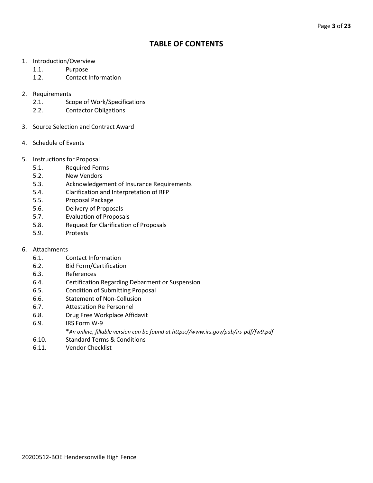## **TABLE OF CONTENTS**

- 1. Introduction/Overview
	- 1.1. Purpose
	- 1.2. Contact Information
- 2. Requirements
	- 2.1. Scope of Work/Specifications
	- 2.2. Contactor Obligations
- 3. Source Selection and Contract Award
- 4. Schedule of Events
- 5. Instructions for Proposal
	- 5.1. Required Forms
	- 5.2. New Vendors
	- 5.3. Acknowledgement of Insurance Requirements
	- 5.4. Clarification and Interpretation of RFP
	- 5.5. Proposal Package
	- 5.6. Delivery of Proposals
	- 5.7. Evaluation of Proposals
	- 5.8. Request for Clarification of Proposals
	- 5.9. Protests
- 6. Attachments
	- 6.1. Contact Information
	- 6.2. Bid Form/Certification
	- 6.3. References
	- 6.4. Certification Regarding Debarment or Suspension
	- 6.5. Condition of Submitting Proposal
	- 6.6. Statement of Non-Collusion
	- 6.7. Attestation Re Personnel
	- 6.8. Drug Free Workplace Affidavit
	- 6.9. IRS Form W-9
		- \**An online, fillable version can be found at https://www.irs.gov/pub/irs-pdf/fw9.pdf*
	- 6.10. Standard Terms & Conditions
	- 6.11. Vendor Checklist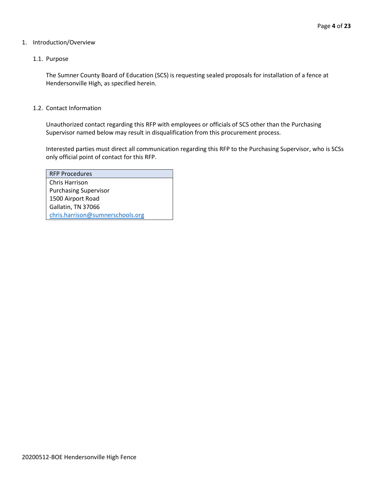#### 1. Introduction/Overview

#### 1.1. Purpose

The Sumner County Board of Education (SCS) is requesting sealed proposals for installation of a fence at Hendersonville High, as specified herein.

#### 1.2. Contact Information

Unauthorized contact regarding this RFP with employees or officials of SCS other than the Purchasing Supervisor named below may result in disqualification from this procurement process.

Interested parties must direct all communication regarding this RFP to the Purchasing Supervisor, who is SCSs only official point of contact for this RFP.

| <b>RFP Procedures</b>            |
|----------------------------------|
| Chris Harrison                   |
| <b>Purchasing Supervisor</b>     |
| 1500 Airport Road                |
| Gallatin, TN 37066               |
| chris.harrison@sumnerschools.org |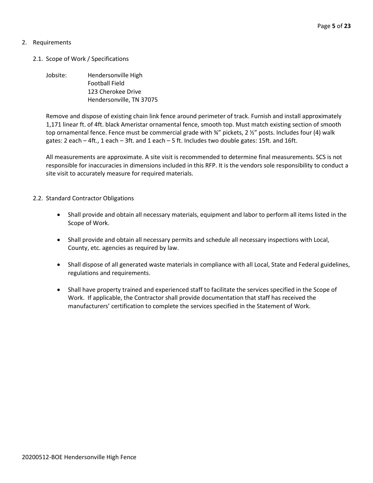#### 2. Requirements

- 2.1. Scope of Work / Specifications
	- Jobsite: Hendersonville High Football Field 123 Cherokee Drive Hendersonville, TN 37075

Remove and dispose of existing chain link fence around perimeter of track. Furnish and install approximately 1,171 linear ft. of 4ft. black Ameristar ornamental fence, smooth top. Must match existing section of smooth top ornamental fence. Fence must be commercial grade with ¾" pickets, 2 ½" posts. Includes four (4) walk gates: 2 each – 4ft., 1 each – 3ft. and 1 each – 5 ft. Includes two double gates: 15ft. and 16ft.

All measurements are approximate. A site visit is recommended to determine final measurements. SCS is not responsible for inaccuracies in dimensions included in this RFP. It is the vendors sole responsibility to conduct a site visit to accurately measure for required materials.

#### 2.2. Standard Contractor Obligations

- Shall provide and obtain all necessary materials, equipment and labor to perform all items listed in the Scope of Work.
- Shall provide and obtain all necessary permits and schedule all necessary inspections with Local, County, etc. agencies as required by law.
- Shall dispose of all generated waste materials in compliance with all Local, State and Federal guidelines, regulations and requirements.
- Shall have property trained and experienced staff to facilitate the services specified in the Scope of Work. If applicable, the Contractor shall provide documentation that staff has received the manufacturers' certification to complete the services specified in the Statement of Work.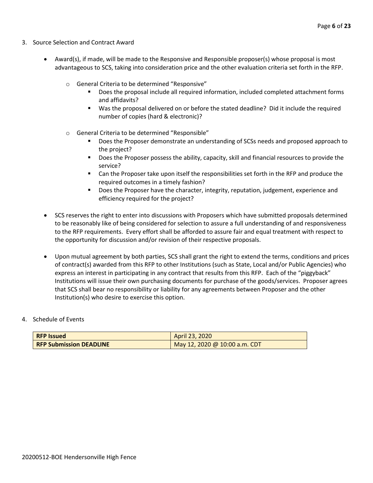- 3. Source Selection and Contract Award
	- Award(s), if made, will be made to the Responsive and Responsible proposer(s) whose proposal is most advantageous to SCS, taking into consideration price and the other evaluation criteria set forth in the RFP.
		- o General Criteria to be determined "Responsive"
			- Does the proposal include all required information, included completed attachment forms and affidavits?
			- Was the proposal delivered on or before the stated deadline? Did it include the required number of copies (hard & electronic)?
		- o General Criteria to be determined "Responsible"
			- Does the Proposer demonstrate an understanding of SCSs needs and proposed approach to the project?
			- Does the Proposer possess the ability, capacity, skill and financial resources to provide the service?
			- Can the Proposer take upon itself the responsibilities set forth in the RFP and produce the required outcomes in a timely fashion?
			- **■** Does the Proposer have the character, integrity, reputation, judgement, experience and efficiency required for the project?
	- SCS reserves the right to enter into discussions with Proposers which have submitted proposals determined to be reasonably like of being considered for selection to assure a full understanding of and responsiveness to the RFP requirements. Every effort shall be afforded to assure fair and equal treatment with respect to the opportunity for discussion and/or revision of their respective proposals.
	- Upon mutual agreement by both parties, SCS shall grant the right to extend the terms, conditions and prices of contract(s) awarded from this RFP to other Institutions (such as State, Local and/or Public Agencies) who express an interest in participating in any contract that results from this RFP. Each of the "piggyback" Institutions will issue their own purchasing documents for purchase of the goods/services. Proposer agrees that SCS shall bear no responsibility or liability for any agreements between Proposer and the other Institution(s) who desire to exercise this option.

#### 4. Schedule of Events

| <b>RFP Issued</b>              | April 23, 2020                |
|--------------------------------|-------------------------------|
| <b>RFP Submission DEADLINE</b> | May 12, 2020 @ 10:00 a.m. CDT |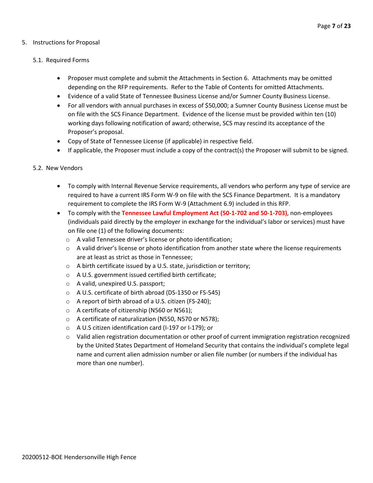#### 5. Instructions for Proposal

#### 5.1. Required Forms

- Proposer must complete and submit the Attachments in Section 6. Attachments may be omitted depending on the RFP requirements. Refer to the Table of Contents for omitted Attachments.
- Evidence of a valid State of Tennessee Business License and/or Sumner County Business License.
- For all vendors with annual purchases in excess of \$50,000; a Sumner County Business License must be on file with the SCS Finance Department. Evidence of the license must be provided within ten (10) working days following notification of award; otherwise, SCS may rescind its acceptance of the Proposer's proposal.
- Copy of State of Tennessee License (if applicable) in respective field.
- If applicable, the Proposer must include a copy of the contract(s) the Proposer will submit to be signed.

#### 5.2. New Vendors

- To comply with Internal Revenue Service requirements, all vendors who perform any type of service are required to have a current IRS Form W-9 on file with the SCS Finance Department. It is a mandatory requirement to complete the IRS Form W-9 (Attachment 6.9) included in this RFP.
- To comply with the **Tennessee Lawful Employment Act (50-1-702 and 50-1-703)**, non-employees (individuals paid directly by the employer in exchange for the individual's labor or services) must have on file one (1) of the following documents:
	- o A valid Tennessee driver's license or photo identification;
	- $\circ$  A valid driver's license or photo identification from another state where the license requirements are at least as strict as those in Tennessee;
	- o A birth certificate issued by a U.S. state, jurisdiction or territory;
	- o A U.S. government issued certified birth certificate;
	- o A valid, unexpired U.S. passport;
	- o A U.S. certificate of birth abroad (DS-1350 or FS-545)
	- o A report of birth abroad of a U.S. citizen (FS-240);
	- o A certificate of citizenship (N560 or N561);
	- o A certificate of naturalization (N550, N570 or N578);
	- o A U.S citizen identification card (I-197 or I-179); or
	- $\circ$  Valid alien registration documentation or other proof of current immigration registration recognized by the United States Department of Homeland Security that contains the individual's complete legal name and current alien admission number or alien file number (or numbers if the individual has more than one number).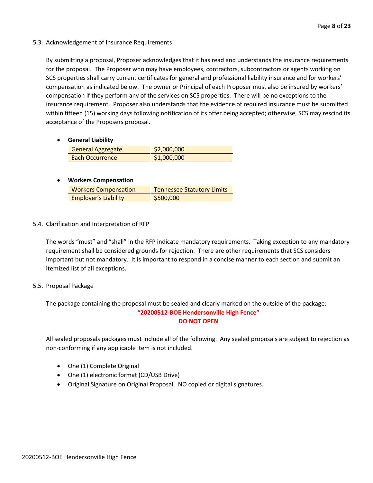#### 5.3. Acknowledgement of Insurance Requirements

By submitting a proposal, Proposer acknowledges that it has read and understands the insurance requirements for the proposal. The Proposer who may have employees, contractors, subcontractors or agents working on SCS properties shall carry current certificates for general and professional liability insurance and for workers' compensation as indicated below. The owner or Principal of each Proposer must also be insured by workers' compensation if they perform any of the services on SCS properties. There will be no exceptions to the insurance requirement. Proposer also understands that the evidence of required insurance must be submitted within fifteen (15) working days following notification of its offer being accepted; otherwise, SCS may rescind its acceptance of the Proposers proposal.

#### • **General Liability**

| <b>General Aggregate</b> | \$2,000,000 |
|--------------------------|-------------|
| Each Occurrence          | \$1,000,000 |

#### • **Workers Compensation**

| <b>Workers Compensation</b> | <b>Tennessee Statutory Limits</b> |
|-----------------------------|-----------------------------------|
| <b>Employer's Liability</b> | \$500,000                         |

#### 5.4. Clarification and Interpretation of RFP

The words "must" and "shall" in the RFP indicate mandatory requirements. Taking exception to any mandatory requirement shall be considered grounds for rejection. There are other requirements that SCS considers important but not mandatory. It is important to respond in a concise manner to each section and submit an itemized list of all exceptions.

#### 5.5. Proposal Package

The package containing the proposal must be sealed and clearly marked on the outside of the package: **"20200512-BOE Hendersonville High Fence" DO NOT OPEN**

All sealed proposals packages must include all of the following. Any sealed proposals are subject to rejection as non-conforming if any applicable item is not included.

- One (1) Complete Original
- One (1) electronic format (CD/USB Drive)
- Original Signature on Original Proposal. NO copied or digital signatures.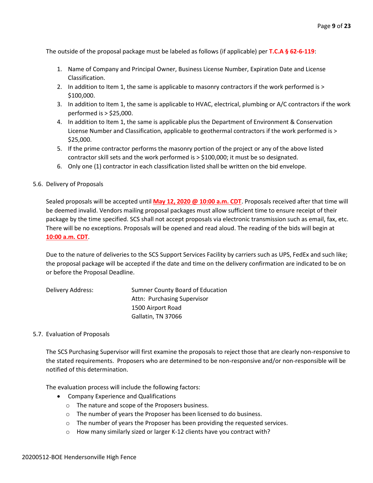The outside of the proposal package must be labeled as follows (if applicable) per **T.C.A § 62-6-119**:

- 1. Name of Company and Principal Owner, Business License Number, Expiration Date and License Classification.
- 2. In addition to Item 1, the same is applicable to masonry contractors if the work performed is > \$100,000.
- 3. In addition to Item 1, the same is applicable to HVAC, electrical, plumbing or A/C contractors if the work performed is > \$25,000.
- 4. In addition to Item 1, the same is applicable plus the Department of Environment & Conservation License Number and Classification, applicable to geothermal contractors if the work performed is > \$25,000.
- 5. If the prime contractor performs the masonry portion of the project or any of the above listed contractor skill sets and the work performed is > \$100,000; it must be so designated.
- 6. Only one (1) contractor in each classification listed shall be written on the bid envelope.

#### 5.6. Delivery of Proposals

Sealed proposals will be accepted until **May 12, 2020 @ 10:00 a.m. CDT**. Proposals received after that time will be deemed invalid. Vendors mailing proposal packages must allow sufficient time to ensure receipt of their package by the time specified. SCS shall not accept proposals via electronic transmission such as email, fax, etc. There will be no exceptions. Proposals will be opened and read aloud. The reading of the bids will begin at **10:00 a.m. CDT**.

Due to the nature of deliveries to the SCS Support Services Facility by carriers such as UPS, FedEx and such like; the proposal package will be accepted if the date and time on the delivery confirmation are indicated to be on or before the Proposal Deadline.

| Delivery Address: | Sumner County Board of Education |
|-------------------|----------------------------------|
|                   | Attn: Purchasing Supervisor      |
|                   | 1500 Airport Road                |
|                   | Gallatin, TN 37066               |

#### 5.7. Evaluation of Proposals

The SCS Purchasing Supervisor will first examine the proposals to reject those that are clearly non-responsive to the stated requirements. Proposers who are determined to be non-responsive and/or non-responsible will be notified of this determination.

The evaluation process will include the following factors:

- Company Experience and Qualifications
	- o The nature and scope of the Proposers business.
	- o The number of years the Proposer has been licensed to do business.
	- o The number of years the Proposer has been providing the requested services.
	- o How many similarly sized or larger K-12 clients have you contract with?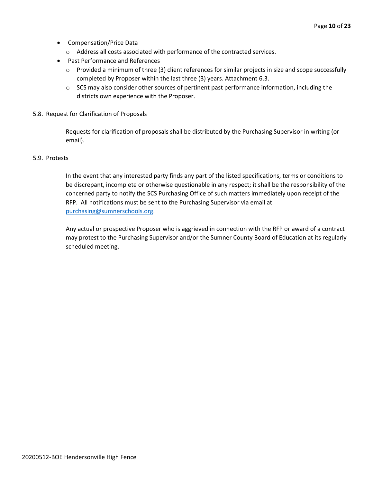- Compensation/Price Data
	- o Address all costs associated with performance of the contracted services.
- Past Performance and References
	- o Provided a minimum of three (3) client references for similar projects in size and scope successfully completed by Proposer within the last three (3) years. Attachment 6.3.
	- $\circ$  SCS may also consider other sources of pertinent past performance information, including the districts own experience with the Proposer.
- 5.8. Request for Clarification of Proposals

Requests for clarification of proposals shall be distributed by the Purchasing Supervisor in writing (or email).

#### 5.9. Protests

In the event that any interested party finds any part of the listed specifications, terms or conditions to be discrepant, incomplete or otherwise questionable in any respect; it shall be the responsibility of the concerned party to notify the SCS Purchasing Office of such matters immediately upon receipt of the RFP. All notifications must be sent to the Purchasing Supervisor via email at [purchasing@sumnerschools.org.](mailto:purchasing@sumnerschools.org)

Any actual or prospective Proposer who is aggrieved in connection with the RFP or award of a contract may protest to the Purchasing Supervisor and/or the Sumner County Board of Education at its regularly scheduled meeting.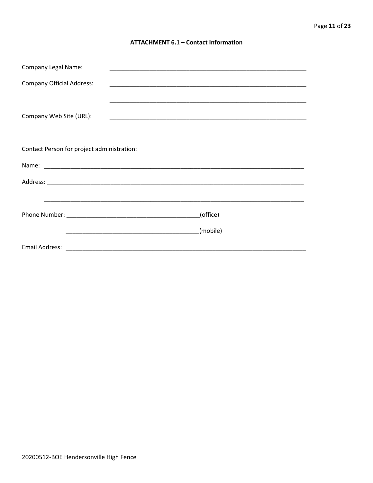#### **ATTACHMENT 6.1 - Contact Information**

| <b>Company Legal Name:</b>                 |          |
|--------------------------------------------|----------|
| <b>Company Official Address:</b>           |          |
|                                            |          |
| Company Web Site (URL):                    |          |
|                                            |          |
|                                            |          |
| Contact Person for project administration: |          |
|                                            |          |
|                                            |          |
|                                            |          |
|                                            | (office) |
|                                            | (mobile) |
|                                            |          |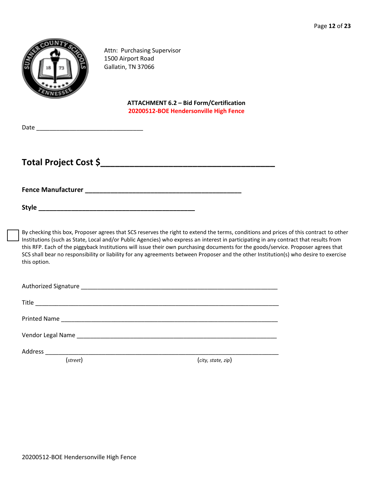

Attn: Purchasing Supervisor 1500 Airport Road Gallatin, TN 37066

> **ATTACHMENT 6.2 – Bid Form/Certification 20200512-BOE Hendersonville High Fence**

| Date |  |  |  |  |
|------|--|--|--|--|
|      |  |  |  |  |

## **Total Project Cost \$\_\_\_\_\_\_\_\_\_\_\_\_\_\_\_\_\_\_\_\_\_\_\_\_\_\_\_\_\_\_\_\_\_\_\_\_**

**Fence Manufacturer \_\_\_\_\_\_\_\_\_\_\_\_\_\_\_\_\_\_\_\_\_\_\_\_\_\_\_\_\_\_\_\_\_\_\_\_\_\_\_\_\_\_\_**

**Style \_\_\_\_\_\_\_\_\_\_\_\_\_\_\_\_\_\_\_\_\_\_\_\_\_\_\_\_\_\_\_\_\_\_\_\_\_\_\_\_\_\_\_**

By checking this box, Proposer agrees that SCS reserves the right to extend the terms, conditions and prices of this contract to other Institutions (such as State, Local and/or Public Agencies) who express an interest in participating in any contract that results from this RFP. Each of the piggyback Institutions will issue their own purchasing documents for the goods/service. Proposer agrees that SCS shall bear no responsibility or liability for any agreements between Proposer and the other Institution(s) who desire to exercise this option.

| (street) | (city, state, zip) |
|----------|--------------------|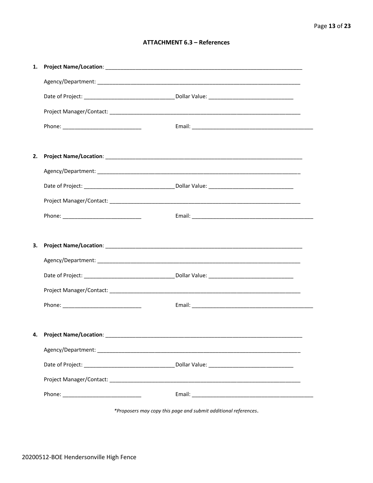#### **ATTACHMENT 6.3 - References**

| 1. |                                      |  |
|----|--------------------------------------|--|
|    |                                      |  |
|    |                                      |  |
|    |                                      |  |
|    |                                      |  |
|    |                                      |  |
| 2. |                                      |  |
|    |                                      |  |
|    |                                      |  |
|    |                                      |  |
|    |                                      |  |
|    |                                      |  |
|    |                                      |  |
| 3. |                                      |  |
|    |                                      |  |
|    |                                      |  |
|    |                                      |  |
|    |                                      |  |
|    |                                      |  |
|    | 4. Project Name/Location: __________ |  |
|    |                                      |  |
|    |                                      |  |
|    |                                      |  |

\*Proposers may copy this page and submit additional references.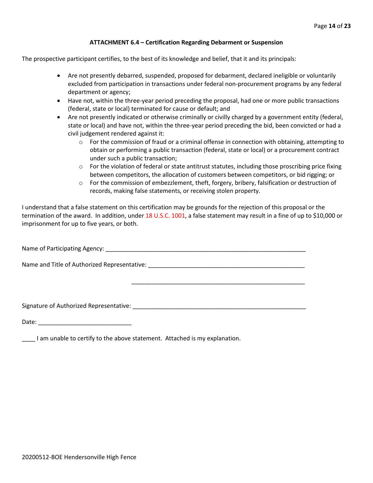#### **ATTACHMENT 6.4 – Certification Regarding Debarment or Suspension**

The prospective participant certifies, to the best of its knowledge and belief, that it and its principals:

- Are not presently debarred, suspended, proposed for debarment, declared ineligible or voluntarily excluded from participation in transactions under federal non-procurement programs by any federal department or agency;
- Have not, within the three-year period preceding the proposal, had one or more public transactions (federal, state or local) terminated for cause or default; and
- Are not presently indicated or otherwise criminally or civilly charged by a government entity (federal, state or local) and have not, within the three-year period preceding the bid, been convicted or had a civil judgement rendered against it:
	- $\circ$  For the commission of fraud or a criminal offense in connection with obtaining, attempting to obtain or performing a public transaction (federal, state or local) or a procurement contract under such a public transaction;
	- $\circ$  For the violation of federal or state antitrust statutes, including those proscribing price fixing between competitors, the allocation of customers between competitors, or bid rigging; or
	- $\circ$  For the commission of embezzlement, theft, forgery, bribery, falsification or destruction of records, making false statements, or receiving stolen property.

\_\_\_\_\_\_\_\_\_\_\_\_\_\_\_\_\_\_\_\_\_\_\_\_\_\_\_\_\_\_\_\_\_\_\_\_\_\_\_\_\_\_\_\_\_\_\_\_\_\_\_\_

I understand that a false statement on this certification may be grounds for the rejection of this proposal or the termination of the award. In addition, under 18 U.S.C. 1001, a false statement may result in a fine of up to \$10,000 or imprisonment for up to five years, or both.

Name of Participating Agency: \_\_\_\_\_\_\_\_\_\_\_\_\_\_\_\_\_\_\_\_\_\_\_\_\_\_\_\_\_\_\_\_\_\_\_\_\_\_\_\_\_\_\_\_\_\_\_\_\_\_\_\_\_\_\_\_\_\_\_\_

Name and Title of Authorized Representative: \_\_\_\_\_\_\_\_\_\_\_\_\_\_\_\_\_\_\_\_\_\_\_\_\_\_\_\_\_\_\_\_\_\_\_

Signature of Authorized Representative: \_\_\_\_\_\_\_\_\_\_\_\_\_\_\_\_\_\_\_\_\_\_\_\_\_\_\_\_\_\_\_\_\_\_\_\_\_\_\_\_\_\_\_\_\_\_\_\_\_\_\_\_

Date: \_\_\_\_\_\_\_\_\_\_\_\_\_\_\_\_\_\_\_\_\_\_\_\_\_\_\_\_

\_\_\_\_ I am unable to certify to the above statement. Attached is my explanation.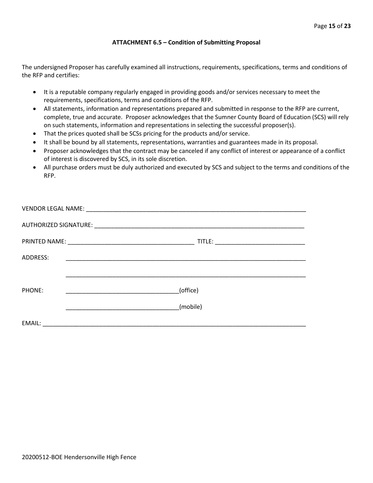#### **ATTACHMENT 6.5 – Condition of Submitting Proposal**

The undersigned Proposer has carefully examined all instructions, requirements, specifications, terms and conditions of the RFP and certifies:

- It is a reputable company regularly engaged in providing goods and/or services necessary to meet the requirements, specifications, terms and conditions of the RFP.
- All statements, information and representations prepared and submitted in response to the RFP are current, complete, true and accurate. Proposer acknowledges that the Sumner County Board of Education (SCS) will rely on such statements, information and representations in selecting the successful proposer(s).
- That the prices quoted shall be SCSs pricing for the products and/or service.
- It shall be bound by all statements, representations, warranties and guarantees made in its proposal.
- Proposer acknowledges that the contract may be canceled if any conflict of interest or appearance of a conflict of interest is discovered by SCS, in its sole discretion.
- All purchase orders must be duly authorized and executed by SCS and subject to the terms and conditions of the RFP.

| ADDRESS: |                                                              |
|----------|--------------------------------------------------------------|
|          |                                                              |
| PHONE:   | (office)<br><u> 1990 - Johann John Harry Communication (</u> |
|          | (mobile)                                                     |
| EMAIL:   |                                                              |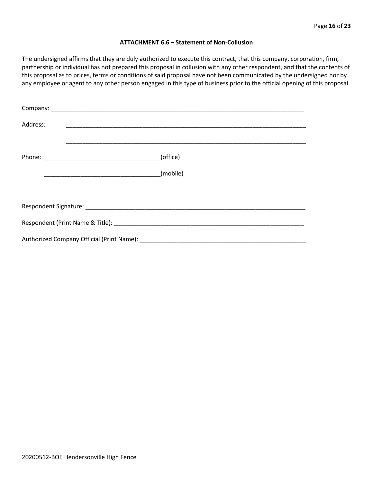#### **ATTACHMENT 6.6 – Statement of Non-Collusion**

The undersigned affirms that they are duly authorized to execute this contract, that this company, corporation, firm, partnership or individual has not prepared this proposal in collusion with any other respondent, and that the contents of this proposal as to prices, terms or conditions of said proposal have not been communicated by the undersigned nor by any employee or agent to any other person engaged in this type of business prior to the official opening of this proposal.

| Address: |          |  |  |  |  |
|----------|----------|--|--|--|--|
|          | (office) |  |  |  |  |
|          |          |  |  |  |  |
|          |          |  |  |  |  |
|          |          |  |  |  |  |
|          |          |  |  |  |  |
|          |          |  |  |  |  |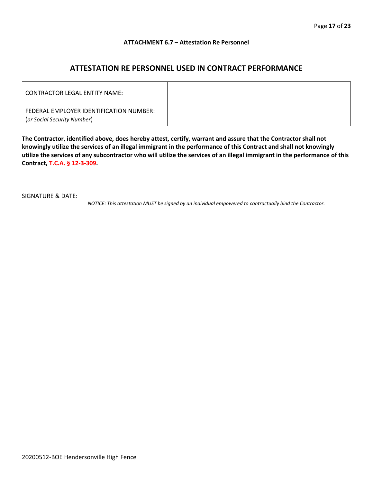#### **ATTACHMENT 6.7 – Attestation Re Personnel**

### **ATTESTATION RE PERSONNEL USED IN CONTRACT PERFORMANCE**

| CONTRACTOR LEGAL ENTITY NAME:                                          |  |
|------------------------------------------------------------------------|--|
| FEDERAL EMPLOYER IDENTIFICATION NUMBER:<br>(or Social Security Number) |  |

**The Contractor, identified above, does hereby attest, certify, warrant and assure that the Contractor shall not knowingly utilize the services of an illegal immigrant in the performance of this Contract and shall not knowingly utilize the services of any subcontractor who will utilize the services of an illegal immigrant in the performance of this Contract, T.C.A. § 12-3-309.**

SIGNATURE & DATE:

*NOTICE: This attestation MUST be signed by an individual empowered to contractually bind the Contractor.*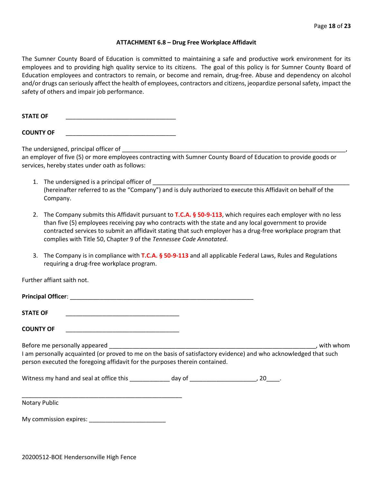#### **ATTACHMENT 6.8 – Drug Free Workplace Affidavit**

The Sumner County Board of Education is committed to maintaining a safe and productive work environment for its employees and to providing high quality service to its citizens. The goal of this policy is for Sumner County Board of Education employees and contractors to remain, or become and remain, drug-free. Abuse and dependency on alcohol and/or drugs can seriously affect the health of employees, contractors and citizens, jeopardize personal safety, impact the safety of others and impair job performance.

STATE OF

**COUNTY OF** \_\_\_\_\_\_\_\_\_\_\_\_\_\_\_\_\_\_\_\_\_\_\_\_\_\_\_\_\_\_\_\_\_

The undersigned, principal officer of

an employer of five (5) or more employees contracting with Sumner County Board of Education to provide goods or services, hereby states under oath as follows:

- 1. The undersigned is a principal officer of (hereinafter referred to as the "Company") and is duly authorized to execute this Affidavit on behalf of the Company.
- 2. The Company submits this Affidavit pursuant to **T.C.A. § 50-9-113**, which requires each employer with no less than five (5) employees receiving pay who contracts with the state and any local government to provide contracted services to submit an affidavit stating that such employer has a drug-free workplace program that complies with Title 50, Chapter 9 of the *Tennessee Code Annotated*.
- 3. The Company is in compliance with **T.C.A. § 50-9-113** and all applicable Federal Laws, Rules and Regulations requiring a drug-free workplace program.

Further affiant saith not.

| <b>Principal Officer:</b> |  |
|---------------------------|--|
|                           |  |
| <b>STATE OF</b>           |  |

**COUNTY OF** \_\_\_\_\_\_\_\_\_\_\_\_\_\_\_\_\_\_\_\_\_\_\_\_\_\_\_\_\_\_\_\_\_\_

Before me personally appeared \_\_\_\_\_\_\_\_\_\_\_\_\_\_\_\_\_\_\_\_\_\_\_\_\_\_\_\_\_\_\_\_\_\_\_\_\_\_\_\_\_\_\_\_\_\_\_\_\_\_\_\_\_\_\_\_\_\_\_\_\_\_, with whom I am personally acquainted (or proved to me on the basis of satisfactory evidence) and who acknowledged that such person executed the foregoing affidavit for the purposes therein contained.

Witness my hand and seal at office this \_\_\_\_\_\_\_\_\_\_\_\_ day of \_\_\_\_\_\_\_\_\_\_\_\_\_\_\_\_\_\_\_\_\_, 20\_\_\_\_.

\_\_\_\_\_\_\_\_\_\_\_\_\_\_\_\_\_\_\_\_\_\_\_\_\_\_\_\_\_\_\_\_\_\_\_\_\_\_\_\_\_\_\_\_\_\_\_\_ Notary Public

My commission expires: \_\_\_\_\_\_\_\_\_\_\_\_\_\_\_\_\_\_\_\_\_\_\_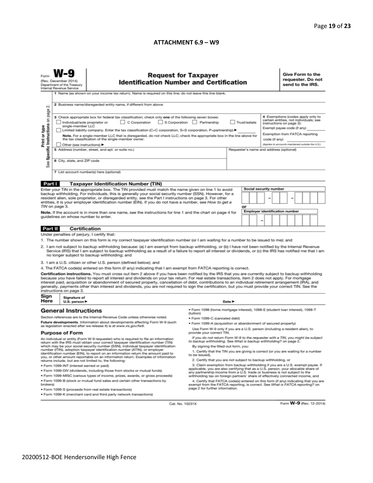#### **ATTACHMENT 6.9 – W9**

|                                                                                                                                                                                                                                                                                                                                                                                                                                                                                                                                                                                                                                                          | <b>Request for Taxpayer</b><br><b>Identification Number and Certification</b><br>(Rev. December 2014)<br>Department of the Treasury<br>Internal Revenue Service<br>1 Name (as shown on your income tax return). Name is required on this line; do not leave this line blank. |                                                                                                                                                                                                                                                                                                                                                |                                                                                           |                                            |    |  |                                                                                                      | Give Form to the<br>requester. Do not<br>send to the IRS.                                                                             |  |  |  |  |  |  |
|----------------------------------------------------------------------------------------------------------------------------------------------------------------------------------------------------------------------------------------------------------------------------------------------------------------------------------------------------------------------------------------------------------------------------------------------------------------------------------------------------------------------------------------------------------------------------------------------------------------------------------------------------------|------------------------------------------------------------------------------------------------------------------------------------------------------------------------------------------------------------------------------------------------------------------------------|------------------------------------------------------------------------------------------------------------------------------------------------------------------------------------------------------------------------------------------------------------------------------------------------------------------------------------------------|-------------------------------------------------------------------------------------------|--------------------------------------------|----|--|------------------------------------------------------------------------------------------------------|---------------------------------------------------------------------------------------------------------------------------------------|--|--|--|--|--|--|
| 2 Business name/disregarded entity name, if different from above<br>N<br>page                                                                                                                                                                                                                                                                                                                                                                                                                                                                                                                                                                            |                                                                                                                                                                                                                                                                              |                                                                                                                                                                                                                                                                                                                                                |                                                                                           |                                            |    |  |                                                                                                      |                                                                                                                                       |  |  |  |  |  |  |
| Specific Instructions on                                                                                                                                                                                                                                                                                                                                                                                                                                                                                                                                                                                                                                 |                                                                                                                                                                                                                                                                              | 3 Check appropriate box for federal tax classification; check only one of the following seven boxes:<br>S Corporation Partnership<br>$\Box$ C Corporation<br>Trust/estate<br>Individual/sole proprietor or<br>single-member LLC<br>Limited liability company. Enter the tax classification (C=C corporation, S=S corporation, P=partnership) ▶ |                                                                                           |                                            |    |  |                                                                                                      | 4 Exemptions (codes apply only to<br>certain entities, not individuals; see<br>instructions on page 3):<br>Exempt payee code (if any) |  |  |  |  |  |  |
| Print or type                                                                                                                                                                                                                                                                                                                                                                                                                                                                                                                                                                                                                                            |                                                                                                                                                                                                                                                                              | Note. For a single-member LLC that is disregarded, do not check LLC; check the appropriate box in the line above for<br>the tax classification of the single-member owner.<br>Other (see instructions)                                                                                                                                         |                                                                                           |                                            |    |  | Exemption from FATCA reporting<br>code (if any)<br>(Applies to accounts maintained outside the U.S.) |                                                                                                                                       |  |  |  |  |  |  |
|                                                                                                                                                                                                                                                                                                                                                                                                                                                                                                                                                                                                                                                          | 5 Address (number, street, and apt. or suite no.)<br>Requester's name and address (optional)<br>6 City, state, and ZIP code                                                                                                                                                  |                                                                                                                                                                                                                                                                                                                                                |                                                                                           |                                            |    |  |                                                                                                      |                                                                                                                                       |  |  |  |  |  |  |
| See                                                                                                                                                                                                                                                                                                                                                                                                                                                                                                                                                                                                                                                      |                                                                                                                                                                                                                                                                              | 7 List account number(s) here (optional)                                                                                                                                                                                                                                                                                                       |                                                                                           |                                            |    |  |                                                                                                      |                                                                                                                                       |  |  |  |  |  |  |
| Part I                                                                                                                                                                                                                                                                                                                                                                                                                                                                                                                                                                                                                                                   |                                                                                                                                                                                                                                                                              | <b>Taxpayer Identification Number (TIN)</b>                                                                                                                                                                                                                                                                                                    |                                                                                           |                                            |    |  |                                                                                                      |                                                                                                                                       |  |  |  |  |  |  |
|                                                                                                                                                                                                                                                                                                                                                                                                                                                                                                                                                                                                                                                          |                                                                                                                                                                                                                                                                              | Enter your TIN in the appropriate box. The TIN provided must match the name given on line 1 to avoid                                                                                                                                                                                                                                           |                                                                                           |                                            |    |  | Social security number                                                                               |                                                                                                                                       |  |  |  |  |  |  |
| backup withholding. For individuals, this is generally your social security number (SSN). However, for a<br>resident alien, sole proprietor, or disregarded entity, see the Part I instructions on page 3. For other<br>entities, it is your employer identification number (EIN). If you do not have a number, see How to get a                                                                                                                                                                                                                                                                                                                         |                                                                                                                                                                                                                                                                              |                                                                                                                                                                                                                                                                                                                                                |                                                                                           |                                            |    |  |                                                                                                      |                                                                                                                                       |  |  |  |  |  |  |
|                                                                                                                                                                                                                                                                                                                                                                                                                                                                                                                                                                                                                                                          | TIN on page 3.                                                                                                                                                                                                                                                               |                                                                                                                                                                                                                                                                                                                                                |                                                                                           |                                            | or |  |                                                                                                      |                                                                                                                                       |  |  |  |  |  |  |
| Note. If the account is in more than one name, see the instructions for line 1 and the chart on page 4 for<br>quidelines on whose number to enter.                                                                                                                                                                                                                                                                                                                                                                                                                                                                                                       |                                                                                                                                                                                                                                                                              |                                                                                                                                                                                                                                                                                                                                                |                                                                                           | <b>Employer identification number</b><br>- |    |  |                                                                                                      |                                                                                                                                       |  |  |  |  |  |  |
| Part II                                                                                                                                                                                                                                                                                                                                                                                                                                                                                                                                                                                                                                                  | <b>Certification</b>                                                                                                                                                                                                                                                         |                                                                                                                                                                                                                                                                                                                                                |                                                                                           |                                            |    |  |                                                                                                      |                                                                                                                                       |  |  |  |  |  |  |
|                                                                                                                                                                                                                                                                                                                                                                                                                                                                                                                                                                                                                                                          | Under penalties of perjury, I certify that:                                                                                                                                                                                                                                  |                                                                                                                                                                                                                                                                                                                                                |                                                                                           |                                            |    |  |                                                                                                      |                                                                                                                                       |  |  |  |  |  |  |
|                                                                                                                                                                                                                                                                                                                                                                                                                                                                                                                                                                                                                                                          |                                                                                                                                                                                                                                                                              | 1. The number shown on this form is my correct taxpayer identification number (or I am waiting for a number to be issued to me); and                                                                                                                                                                                                           |                                                                                           |                                            |    |  |                                                                                                      |                                                                                                                                       |  |  |  |  |  |  |
| 2. I am not subject to backup withholding because: (a) I am exempt from backup withholding, or (b) I have not been notified by the Internal Revenue<br>Service (IRS) that I am subject to backup withholding as a result of a failure to report all interest or dividends, or (c) the IRS has notified me that I am<br>no longer subject to backup withholding; and                                                                                                                                                                                                                                                                                      |                                                                                                                                                                                                                                                                              |                                                                                                                                                                                                                                                                                                                                                |                                                                                           |                                            |    |  |                                                                                                      |                                                                                                                                       |  |  |  |  |  |  |
|                                                                                                                                                                                                                                                                                                                                                                                                                                                                                                                                                                                                                                                          |                                                                                                                                                                                                                                                                              | 3. I am a U.S. citizen or other U.S. person (defined below); and                                                                                                                                                                                                                                                                               |                                                                                           |                                            |    |  |                                                                                                      |                                                                                                                                       |  |  |  |  |  |  |
|                                                                                                                                                                                                                                                                                                                                                                                                                                                                                                                                                                                                                                                          |                                                                                                                                                                                                                                                                              | 4. The FATCA code(s) entered on this form (if any) indicating that I am exempt from FATCA reporting is correct.                                                                                                                                                                                                                                |                                                                                           |                                            |    |  |                                                                                                      |                                                                                                                                       |  |  |  |  |  |  |
| Certification instructions. You must cross out item 2 above if you have been notified by the IRS that you are currently subject to backup withholding<br>because you have failed to report all interest and dividends on your tax return. For real estate transactions, item 2 does not apply. For mortgage<br>interest paid, acquisition or abandonment of secured property, cancellation of debt, contributions to an individual retirement arrangement (IRA), and<br>generally, payments other than interest and dividends, you are not required to sign the certification, but you must provide your correct TIN. See the<br>instructions on page 3. |                                                                                                                                                                                                                                                                              |                                                                                                                                                                                                                                                                                                                                                |                                                                                           |                                            |    |  |                                                                                                      |                                                                                                                                       |  |  |  |  |  |  |
| Sign<br>Here                                                                                                                                                                                                                                                                                                                                                                                                                                                                                                                                                                                                                                             | Signature of<br>U.S. person $\blacktriangleright$                                                                                                                                                                                                                            |                                                                                                                                                                                                                                                                                                                                                |                                                                                           | Date $\blacktriangleright$                 |    |  |                                                                                                      |                                                                                                                                       |  |  |  |  |  |  |
|                                                                                                                                                                                                                                                                                                                                                                                                                                                                                                                                                                                                                                                          | <b>General Instructions</b>                                                                                                                                                                                                                                                  |                                                                                                                                                                                                                                                                                                                                                | · Form 1098 (home mortgage interest), 1098-E (student loan interest), 1098-T<br>(tuition) |                                            |    |  |                                                                                                      |                                                                                                                                       |  |  |  |  |  |  |
| Section references are to the Internal Revenue Code unless otherwise noted.                                                                                                                                                                                                                                                                                                                                                                                                                                                                                                                                                                              |                                                                                                                                                                                                                                                                              | · Form 1099-C (canceled debt)                                                                                                                                                                                                                                                                                                                  |                                                                                           |                                            |    |  |                                                                                                      |                                                                                                                                       |  |  |  |  |  |  |
| Future developments. Information about developments affecting Form W-9 (such<br>as legislation enacted after we release it) is at www.irs.gov/fw9.                                                                                                                                                                                                                                                                                                                                                                                                                                                                                                       |                                                                                                                                                                                                                                                                              |                                                                                                                                                                                                                                                                                                                                                | . Form 1099-A (acquisition or abandonment of secured property)                            |                                            |    |  |                                                                                                      |                                                                                                                                       |  |  |  |  |  |  |
| <b>Purpose of Form</b>                                                                                                                                                                                                                                                                                                                                                                                                                                                                                                                                                                                                                                   |                                                                                                                                                                                                                                                                              | Use Form W-9 only if you are a U.S. person (including a resident alien), to<br>provide your correct TIN.                                                                                                                                                                                                                                       |                                                                                           |                                            |    |  |                                                                                                      |                                                                                                                                       |  |  |  |  |  |  |
| If you do not return Form W-9 to the requester with a TIN, you might be subject<br>An individual or entity (Form W-9 requester) who is required to file an information<br>to backup withholding. See What is backup withholding? on page 2.<br>return with the IRS must obtain your correct taxpayer identification number (TIN)                                                                                                                                                                                                                                                                                                                         |                                                                                                                                                                                                                                                                              |                                                                                                                                                                                                                                                                                                                                                |                                                                                           |                                            |    |  |                                                                                                      |                                                                                                                                       |  |  |  |  |  |  |
| which may be your social security number (SSN), individual taxpayer identification<br>number (ITIN), adoption taxpayer identification number (ATIN), or employer<br>identification number (EIN), to report on an information return the amount paid to<br>you, or other amount reportable on an information return. Examples of information                                                                                                                                                                                                                                                                                                              |                                                                                                                                                                                                                                                                              | By signing the filled-out form, you:<br>1. Certify that the TIN you are giving is correct (or you are waiting for a number<br>to be issued).                                                                                                                                                                                                   |                                                                                           |                                            |    |  |                                                                                                      |                                                                                                                                       |  |  |  |  |  |  |
| 2. Certify that you are not subject to backup withholding, or<br>returns include, but are not limited to, the following:<br>3. Claim exemption from backup withholding if you are a U.S. exempt payee. If                                                                                                                                                                                                                                                                                                                                                                                                                                                |                                                                                                                                                                                                                                                                              |                                                                                                                                                                                                                                                                                                                                                |                                                                                           |                                            |    |  |                                                                                                      |                                                                                                                                       |  |  |  |  |  |  |
| · Form 1099-INT (interest earned or paid)<br>applicable, you are also certifying that as a U.S. person, your allocable share of<br>. Form 1099-DIV (dividends, including those from stocks or mutual funds)                                                                                                                                                                                                                                                                                                                                                                                                                                              |                                                                                                                                                                                                                                                                              |                                                                                                                                                                                                                                                                                                                                                |                                                                                           |                                            |    |  |                                                                                                      |                                                                                                                                       |  |  |  |  |  |  |
| any partnership income from a U.S. trade or business is not subject to the<br>* Form 1099-MISC (various types of income, prizes, awards, or gross proceeds)<br>withholding tax on foreign partners' share of effectively connected income, and                                                                                                                                                                                                                                                                                                                                                                                                           |                                                                                                                                                                                                                                                                              |                                                                                                                                                                                                                                                                                                                                                |                                                                                           |                                            |    |  |                                                                                                      |                                                                                                                                       |  |  |  |  |  |  |
| . Form 1099-B (stock or mutual fund sales and certain other transactions by<br>4. Certify that FATCA code(s) entered on this form (if any) indicating that you are<br>brokers)<br>exempt from the FATCA reporting, is correct. See What is FATCA reporting? on<br>page 2 for further information.<br>· Form 1099-S (proceeds from real estate transactions)                                                                                                                                                                                                                                                                                              |                                                                                                                                                                                                                                                                              |                                                                                                                                                                                                                                                                                                                                                |                                                                                           |                                            |    |  |                                                                                                      |                                                                                                                                       |  |  |  |  |  |  |
|                                                                                                                                                                                                                                                                                                                                                                                                                                                                                                                                                                                                                                                          | . Form 1099-K (merchant card and third party network transactions)                                                                                                                                                                                                           |                                                                                                                                                                                                                                                                                                                                                |                                                                                           |                                            |    |  |                                                                                                      |                                                                                                                                       |  |  |  |  |  |  |

Cat. No. 10231X

Form W-9 (Rev. 12-2014)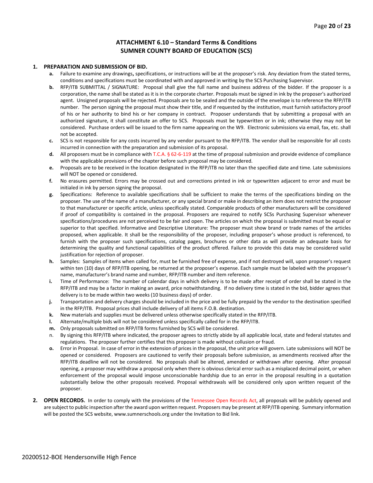#### **ATTACHMENT 6.10 – Standard Terms & Conditions SUMNER COUNTY BOARD OF EDUCATION (SCS)**

#### **1. PREPARATION AND SUBMISSION OF BID.**

- **a.** Failure to examine any drawings**,** specifications, or instructions will be at the proposer's risk. Any deviation from the stated terms, conditions and specifications must be coordinated with and approved in writing by the SCS Purchasing Supervisor.
- **b.** RFP/ITB SUBMITTAL / SIGNATURE: Proposal shall give the full name and business address of the bidder. If the proposer is a corporation, the name shall be stated as it is in the corporate charter. Proposals must be signed in ink by the proposer's authorized agent. Unsigned proposals will be rejected. Proposals are to be sealed and the outside of the envelope is to reference the RFP/ITB number. The person signing the proposal must show their title, and if requested by the institution, must furnish satisfactory proof of his or her authority to bind his or her company in contract. Proposer understands that by submitting a proposal with an authorized signature, it shall constitute an offer to SCS. Proposals must be typewritten or in ink; otherwise they may not be considered. Purchase orders will be issued to the firm name appearing on the W9. Electronic submissions via email, fax, etc. shall not be accepted.
- **c.** SCS is not responsible for any costs incurred by any vendor pursuant to the RFP/ITB. The vendor shall be responsible for all costs incurred in connection with the preparation and submission of its proposal.
- **d.** All proposers must be in compliance with T.C.A. § 62-6-119 at the time of proposal submission and provide evidence of compliance with the applicable provisions of the chapter before such proposal may be considered.
- **e.** Proposals are to be received in the location designated in the RFP/ITB no later than the specified date and time. Late submissions will NOT be opened or considered.
- **f.** No erasures permitted. Errors may be crossed out and corrections printed in ink or typewritten adjacent to error and must be initialed in ink by person signing the proposal.
- **g.** Specifications: Reference to available specifications shall be sufficient to make the terms of the specifications binding on the proposer. The use of the name of a manufacturer, or any special brand or make in describing an item does not restrict the proposer to that manufacturer or specific article, unless specifically stated. Comparable products of other manufacturers will be considered if proof of compatibility is contained in the proposal. Proposers are required to notify SCSs Purchasing Supervisor whenever specifications/procedures are not perceived to be fair and open. The articles on which the proposal is submitted must be equal or superior to that specified. Informative and Descriptive Literature: The proposer must show brand or trade names of the articles proposed, when applicable. It shall be the responsibility of the proposer, including proposer's whose product is referenced, to furnish with the proposer such specifications, catalog pages, brochures or other data as will provide an adequate basis for determining the quality and functional capabilities of the product offered. Failure to provide this data may be considered valid justification for rejection of proposer.
- **h.** Samples: Samples of items when called for, must be furnished free of expense, and if not destroyed will, upon proposer's request within ten (10) days of RFP/ITB opening, be returned at the proposer's expense. Each sample must be labeled with the proposer's name, manufacturer's brand name and number, RFP/ITB number and item reference.
- **i.** Time of Performance: The number of calendar days in which delivery is to be made after receipt of order shall be stated in the RFP/ITB and may be a factor in making an award, price notwithstanding. If no delivery time is stated in the bid, bidder agrees that delivery is to be made within two weeks (10 business days) of order.
- **j.** Transportation and delivery charges should be included in the price and be fully prepaid by the vendor to the destination specified in the RFP/ITB. Proposal prices shall include delivery of all items F.O.B. destination.
- **k.** New materials and supplies must be delivered unless otherwise specifically stated in the RFP/ITB.
- **l.** Alternate/multiple bids will not be considered unless specifically called for in the RFP/ITB.
- **m.** Only proposals submitted on RFP/ITB forms furnished by SCS will be considered.
- n. By signing this RFP/ITB where indicated, the proposer agrees to strictly abide by all applicable local, state and federal statutes and regulations. The proposer further certifies that this proposer is made without collusion or fraud.
- **o.** Error in Proposal. In case of error in the extension of prices in the proposal, the unit price will govern. Late submissions will NOT be opened or considered. Proposers are cautioned to verify their proposals before submission, as amendments received after the RFP/ITB deadline will not be considered. No proposals shall be altered, amended or withdrawn after opening. After proposal opening, a proposer may withdraw a proposal only when there is obvious clerical error such as a misplaced decimal point, or when enforcement of the proposal would impose unconscionable hardship due to an error in the proposal resulting in a quotation substantially below the other proposals received. Proposal withdrawals will be considered only upon written request of the proposer.
- **2. OPEN RECORDS.** In order to comply with the provisions of the Tennessee Open Records Act, all proposals will be publicly opened and are subject to public inspection after the award upon written request. Proposers may be present at RFP/ITB opening. Summary information will be posted the SCS website, www.sumnerschools.org under the Invitation to Bid link.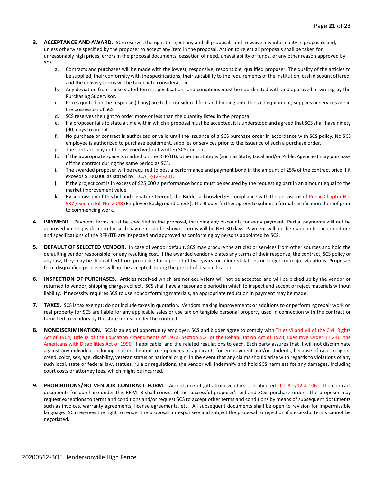- **3. ACCEPTANCE AND AWARD.** SCS reserves the right to reject any and all proposals and to waive any informality in proposals and, unless otherwise specified by the proposer to accept any item in the proposal. Action to reject all proposals shall be taken for unreasonably high prices, errors in the proposal documents, cessation of need, unavailability of funds, or any other reason approved by SCS.
	- a. Contracts and purchases will be made with the lowest, responsive, responsible, qualified proposer. The quality of the articles to be supplied, their conformity with the specifications, their suitability to the requirements of the Institution, cash discount offered, and the delivery terms will be taken into consideration.
	- b. Any deviation from these stated terms, specifications and conditions must be coordinated with and approved in writing by the Purchasing Supervisor.
	- c. Prices quoted on the response (if any) are to be considered firm and binding until the said equipment, supplies or services are in the possession of SCS.
	- d. SCS reserves the right to order more or less than the quantity listed in the proposal.
	- e. If a proposer fails to state a time within which a proposal must be accepted, it is understood and agreed that SCS shall have ninety (90) days to accept.
	- f. No purchase or contract is authorized or valid until the issuance of a SCS purchase order in accordance with SCS policy. No SCS employee is authorized to purchase equipment, supplies or services prior to the issuance of such a purchase order.
	- g. The contract may not be assigned without written SCS consent.
	- h. If the appropriate space is marked on the RFP/ITB, other Institutions (such as State, Local and/or Public Agencies) may purchase off the contract during the same period as SCS.
	- i. The awarded proposer will be required to post a performance and payment bond in the amount of 25% of the contract price if it exceeds \$100,000 as stated by T.C.A. §12-4-201.
	- j. If the project cost is in excess of \$25,000 a performance bond must be secured by the requesting part in an amount equal to the market improvement value.
	- k. By submission of this bid and signature thereof, the Bidder acknowledges compliance with the provisions of Public Chapter No. 587 / Senate Bill No. 2048 (Employee Background Check). The Bidder further agrees to submit a formal certification thereof prior to commencing work.
- **4. PAYMENT**. Payment terms must be specified in the proposal, including any discounts for early payment. Partial payments will not be approved unless justification for such payment can be shown. Terms will be NET 30 days. Payment will not be made until the conditions and specifications of the RFP/ITB are inspected and approved as conforming by persons appointed by SCS.
- **5. DEFAULT OF SELECTED VENDOR.** In case of vendor default, SCS may procure the articles or services from other sources and hold the defaulting vendor responsible for any resulting cost. If the awarded vendor violates any terms of their response, the contract, SCS policy or any law, they may be disqualified from proposing for a period of two years for minor violations or longer for major violations. Proposals from disqualified proposers will not be accepted during the period of disqualification.
- **6. INSPECTION OF PURCHASES.** Articles received which are not equivalent will not be accepted and will be picked up by the vendor or returned to vendor, shipping charges collect. SCS shall have a reasonable period in which to inspect and accept or reject materials without liability. If necessity requires SCS to use nonconforming materials, an appropriate reduction in payment may be made.
- **7. TAXES.** SCS is tax exempt; do not include taxes in quotation. Vendors making improvements or additions to or performing repair work on real property for SCS are liable for any applicable sales or use tax on tangible personal property used in connection with the contract or furnished to vendors by the state for use under the contract.
- **8. NONDISCRIMINATION.** SCS is an equal opportunity employer. SCS and bidder agree to comply with Titles VI and VII of the Civil Rights Act of 1964, Title IX of the Education Amendments of 1972, Section 504 of the Rehabilitation Act of 1973, Executive Order 11,246, the Americans with Disabilities Act of 1990, if applicable, and the related regulations to each. Each party assures that it will not discriminate against any individual including, but not limited to employees or applicants for employment and/or students, because of race, religion, creed, color, sex, age, disability, veteran status or national origin. In the event that any claims should arise with regards to violations of any such local, state or federal law, statues, rule or regulations, the vendor will indemnify and hold SCS harmless for any damages, including court costs or attorney fees, which might be incurred.
- **9. PROHIBITIONS/NO VENDOR CONTRACT FORM.** Acceptance of gifts from vendors is prohibited. T.C.A. §12-4-106. The contract documents for purchase under this RFP/ITB shall consist of the successful proposer's bid and SCSs purchase order. The proposer may request exceptions to terms and conditions and/or request SCS to accept other terms and conditions by means of subsequent documents such as invoices, warranty agreements, license agreements, etc. All subsequent documents shall be open to revision for impermissible language. SCS reserves the right to render the proposal unresponsive and subject the proposal to rejection if successful terms cannot be negotiated.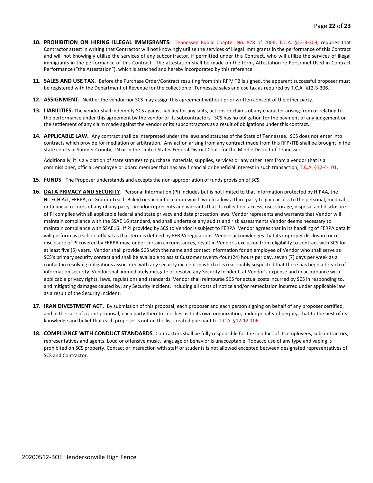- **10. PROHIBITION ON HIRING ILLEGAL IMMIGRANTS.** Tennessee Public Chapter No. 878 of 2006, T.C.A. §12-3-309, requires that Contractor attest in writing that Contractor will not knowingly utilize the services of illegal immigrants in the performance of this Contract and will not knowingly utilize the services of any subcontractor, if permitted under this Contract, who will utilize the services of illegal immigrants in the performance of this Contract. The attestation shall be made on the form, Attestation re Personnel Used in Contract Performance ("the Attestation"), which is attached and hereby incorporated by this reference.
- **11. SALES AND USE TAX.** Before the Purchase Order/Contract resulting from this RFP/ITB is signed, the apparent successful proposer must be registered with the Department of Revenue for the collection of Tennessee sales and use tax as required by T.C.A. §12-3-306.
- **12. ASSIGNMENT.** Neither the vendor nor SCS may assign this agreement without prior written consent of the other party.
- **13. LIABILITIES.** The vendor shall indemnify SCS against liability for any suits, actions or claims of any character arising from or relating to the performance under this agreement by the vendor or its subcontractors. SCS has no obligation for the payment of any judgement or the settlement of any claim made against the vendor or its subcontractors as a result of obligations under this contract.
- **14. APPLICABLE LAW.** Any contract shall be interpreted under the laws and statutes of the State of Tennessee. SCS does not enter into contracts which provide for mediation or arbitration. Any action arising from any contract made from this RFP/ITB shall be brought in the state courts in Sumner County, TN or in the United States Federal District Court for the Middle District of Tennessee.

Additionally, it is a violation of state statutes to purchase materials, supplies, services or any other item from a vendor that is a commissioner, official, employee or board member that has any financial or beneficial interest in such transaction, T.C.A. §12-4-101.

- **15. FUNDS**. The Proposer understands and accepts the non-appropriation of funds provision of SCS.
- **16. DATA PRIVACY AND SECURITY**. Personal Information (PI) includes but is not limited to that information protected by HIPAA, the HITECH Act, FERPA, or Gramm-Leach-Bliley) or such information which would allow a third party to gain access to the personal, medical or financial records of any of any party. Vendor represents and warrants that its collection, access, use, storage, disposal and disclosure of PI complies with all applicable federal and state privacy and data protection laws. Vendor represents and warrants that Vendor will maintain compliance with the SSAE 16 standard, and shall undertake any audits and risk assessments Vendor deems necessary to maintain compliance with SSAE16. If PI provided by SCS to Vendor is subject to FERPA. Vendor agrees that in its handling of FERPA data it will perform as a school official as that term is defined by FERPA regulations. Vendor acknowledges that its improper disclosure or redisclosure of PI covered by FERPA may, under certain circumstances, result in Vendor's exclusion from eligibility to contract with SCS for at least five (5) years. Vendor shall provide SCS with the name and contact information for an employee of Vendor who shall serve as SCS's primary security contact and shall be available to assist Customer twenty-four (24) hours per day, seven (7) days per week as a contact in resolving obligations associated with any security incident in which it is reasonably suspected that there has been a breach of information security. Vendor shall immediately mitigate or resolve any Security Incident, at Vendor's expense and in accordance with applicable privacy rights, laws, regulations and standards. Vendor shall reimburse SCS for actual costs incurred by SCS in responding to, and mitigating damages caused by, any Security Incident, including all costs of notice and/or remediation incurred under applicable law as a result of the Security Incident.
- **17. IRAN DIVESTMENT ACT.** By submission of this proposal, each proposer and each person signing on behalf of any proposer certified, and in the case of a joint proposal, each party thereto certifies as to its own organization, under penalty of perjury, that to the best of its knowledge and belief that each proposer is not on the list created pursuant to T.C.A. §12-12-106.
- **18. COMPLIANCE WITH CONDUCT STANDARDS**. Contractors shall be fully responsible for the conduct of its employees, subcontractors, representatives and agents. Loud or offensive music, language or behavior is unacceptable. Tobacco use of any type and vaping is prohibited on SCS property. Contact or interaction with staff or students is not allowed excepted between designated representatives of SCS and Contractor.